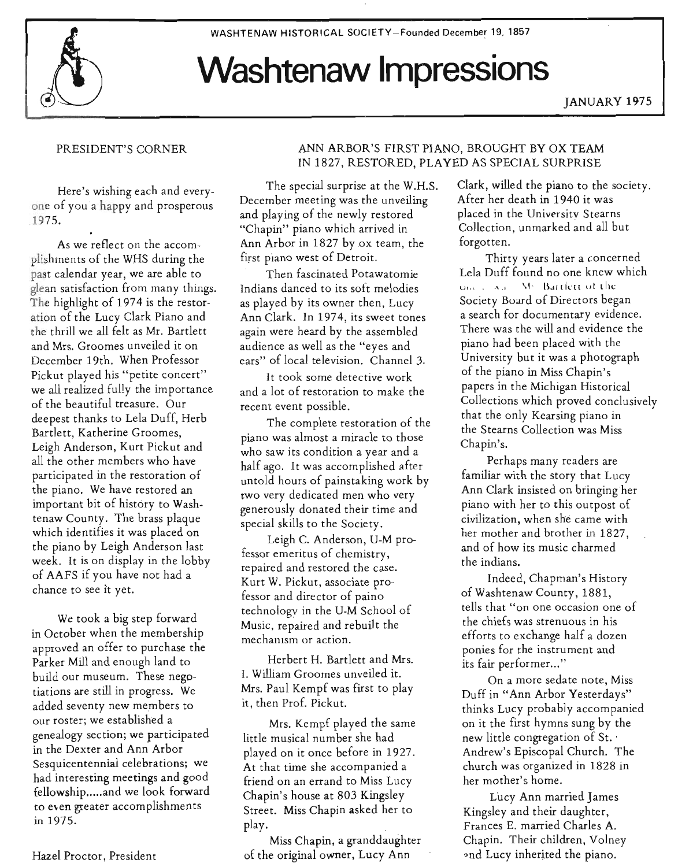WASHTENAW HISTORICAL SOCIETY-Founded December 19. 1857

# **Washtenaw Impressions**

JANUARY 1975

## PRESIDENT'S CORNER

Here's wishing each and everyone of you a happy and prosperous .1975. .

As we reflect on the accomplishments of the WHS during the past calendar year, we are able to glean satisfaction from many things. The highlight of 1974 is the restoration of the Lucy Clark Piano and the thrill we all felt as Mr. Bartlett and Mrs. Groomes unveiled it on December 19th. When Professor Pickut played his "petite concert" we all realized fully the im portance of the beautiful treasure. Our deepest thanks to Lela Duff, Herb Bartlett, Katherine Groomes, Leigh Anderson, Kurt Pickut and all the other members who have participated in the restoration of the piano. We have restored an important bit of history to Washtenaw County. The brass plaque which identifies it was placed on the piano by Leigh Anderson last week. It is on display in the lobby of AAFS if you have not had a chance to see it yet.

We took a big step forward in October when the membership approved an offer to purchase the Parker Mill and enough land to build our museum. These negotiations are still in progress. We added seventy new members to our roster; we established a genealogy section; we participated in the Dexter and Ann Arbor Sesquicentennial celebrations; we had interesting meetings and good fellowship..... and we look forward to e\en greater accomplishments in 1975.

Hazel Proctor, President

# ANN ARBOR'S FIRST PIANO, BROUGHT BY OX TEAM IN 1827, RESTORED, PLAYED AS SPECIAL SURPRISE

The special surprise at the W.H.S. December meeting was the unveiling and playing of the newly restored "Chapin" piano which arrived in Ann Arbor in 1827 by ox team, the first piano west of Detroit.

Then fascinated Potawatomie Indians danced to its soft melodies as played by its owner then, Lucy Ann Clark. In 1974, its sweet tones again were heard by the assembled audience as well as the "eyes and ears" of local television. Channel 3.

It took some detective work and a lot of restoration to make the recent event possible.

The complete restoration of the piano was almost a miracle to those who saw its condition a year and a half ago. It was accomplished after untold hours of painstaking work by two very dedicated men who very generously donated their time and special skills to the Society.

Leigh C. Anderson, U-M professor emeritus of chemistry, repaired and restored the case. Kurt W. Pickut, associate professor and director of paino technology in the U-M School of Music, repaired and rebuilt the mechanism or action.

Herbert H. Bartlett and Mrs. I. William Groomes unveiled it. Mrs. Paul Kempf was first to play it, then Prof. Pickut.

Mrs. Kempf played the same little musical number she had played on it once before in 1927. At that time she accompanied a friend on an errand to Miss Lucy Chapin's house at 803 Kingsley Street. Miss Chapin asked her to play.

Miss Chapin, a granddaughter of the original owner, Lucy Ann

Clark, willed the piano to the society. After her death in 1940 it was placed in the University Stearns Collection, unmarked and all but forgotten.

Thirty years later a concerned Lela Duff found no one knew which  $U_{\rm tot}$  ,  $\Delta x$  . We Bartlett of the Society Buard of Directors began a search for documentary evidence. There was the will and evidence the piano had been placed with the University but it was a photograph of the piano in Miss Chapin's papers in the Michigan Historical Collections which proved conclusively that the only Kearsing piano in the Stearns Collection was Miss Chapin's.

Perhaps many readers are familiar with the story that Lucy Ann Clark insisted on bringing her piano with her to this outpost of civilization, when she came with her mother and brother in 1827, and of how its music charmed the indians.

Indeed, Chapman's History ofWashtenaw County, 1881, tells that "on one occasion one of the chiefs was strenuous in his efforts to exchange half a dozen ponies for the instrument and its fair performer..."

On a more sedate note, Miss Duff in "Ann Arbor Yesterdays" thinks Lucy probably accompanied on it the first hymns sung by the new little congregation of St. ' Andrew's Episcopal Church. The church was organized in 1828 in her mother's home.

Lucy Ann married James Kingsley and their daughter, Frances E. married Charles A. Chapin. Their children, Volney and Lucy inherited the piano.

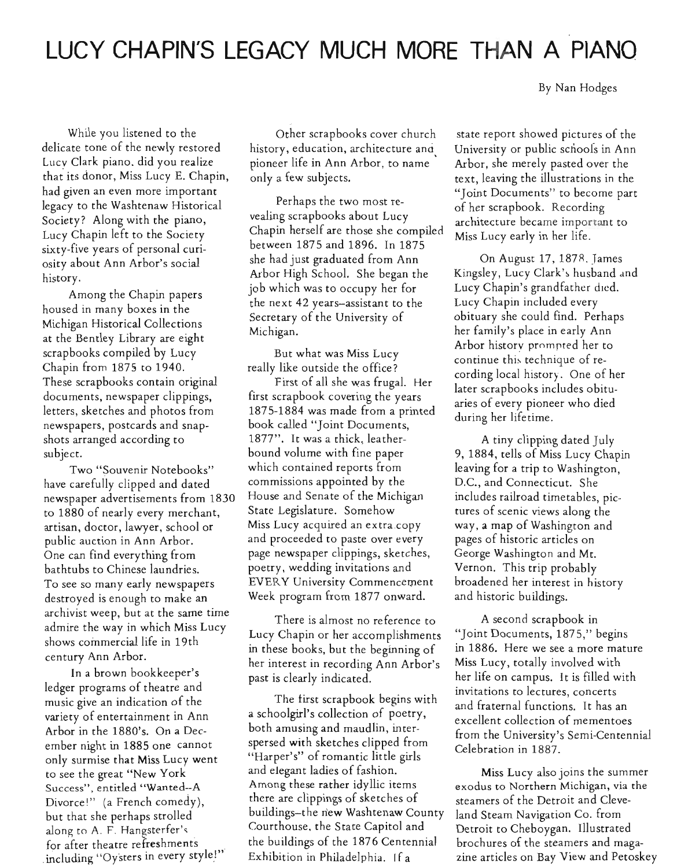# **LUCY CHAPIN'S LEGACY MUCH MORE THAN A PIANO**

By Nan Hodges

While you listened to the delicate tone of the newly restored Lucy Clark piano. did you realize that its donor, Miss Lucy E. Chapin, had given an even more im portant legacy to the Washtenaw Historical Society? Along with the piano, Lucy Chapin left to the Society sixty-five years of personal curiosity about Ann Arbor's social history.

Among the Chapin papers housed in many boxes in the Michigan Historical Collections at the Bentley Library are eight scrapbooks compiled by Lucy Chapin from 1875 to 1940. These scrapbooks contain original documents, newspaper clippings, letters, sketches and photos from newspapers, postcards and snapshots arranged according to subject.

Two "Souvenir Notebooks" have carefully clipped and dated newspaper advertisements from 1830 to 1880 of nearly every merchant, artisan, doctor, lawyer, school or public auction in Ann Arbor. One can find everything from bathtubs to Chinese laundries. To see so many early newspapers destroyed is enough to make an archivist weep, but at the same time admire the way in which Miss Lucy shows commercial life in 19th century Ann Arbor.

In a brown bookkeeper's ledger programs of theatre and music give an indication of the variety of entertainment in Ann Arbor in the 1880's. On a December night in 1885 one cannot only surmise that Miss Lucy went to see the great "New York Success", entitled "Wanted--A Divorce!" (a French comedy), but that she perhaps strolled along to A. F. Hangsterfer's for after theatre refreshments including "Oysters in every style!"

Other scrapbooks cover church history, education, architecture ana pioneer life in Ann Arbor, to name ' only a few subjects.

Perhaps the two most revealing scrapbooks about Lucy Chapin herself are those she compiled between 1875 and 1896. In 1875 she had just graduated from Ann Arbor High School. She began the job which was to occupy her for the next 42 years-assistant to the Secretary of the University of Michigan.

But what was Miss Lucy really like outside the office?

First of all she was frugal. Her first scrapbook covering the years 1875-1884 was made from a printed book called "Joint Documents, 1877". It was a thick, leatherbound volume with fine paper which contained reports from commissions appointed by the House and Senate of the Michigan State Legislature. Somehow Miss Lucy acquired an extra copy and proceeded to paste over every page newspaper clippings, sketches, poetry, wedding invitations and EVERY University Commencement Week program from 1877 onward.

There is almost no reference to Lucy Chapin or her accomplishments in these books, but the beginning of her interest in recording Ann Arbor's past is clearly indicated.

The first scrapbook begins with a schoolgirl's collection of poetry, both amusing and maudlin, interspersed with sketches clipped from "Harper's" of romantic little girls and elegant ladies of fashion. Among these rather idyllic items there are clippings of sketches of buildings-the new Washtenaw County Courthouse, the State Capitol and the bu ildings of the 1876 Centennial Exhibition in Philadelphia. If a

state report showed pictures of the University or public schoofs in Ann Arbor, she merely pasted over the text, leaving the illustrations in the "Joint Documents" to become part of her scrapbook. Recording architecture became important to Miss Lucy early in her life.

On August 17, 1878. James Kingsley, Lucy Clark's husband and Lucy Chapin's grandfather died. Lucy Chapin included every obituary she could find. Perhaps her family's place in early Ann Arbor history prompted her to continue this technique of recording local history. One of her later scrapbooks includes obituaries of every pioneer who died during her lifetime.

A tiny clipping dated July 9, 1884, tells of Miss Lucy Chapin leaving for a trip to Washington, D.C., and Connecticut. She includes railroad timetables, pictures of scenic views along the way, a map of Washington and pages of historic articles on George Washington and Mt. Vernon. This trip probably broadened her interest in history and historic buildings.

A second scrapbook in "Joint Documents, 1875," begins in 1886. Here we see a more mature Miss Lucy, totally involved with her life on campus. It is filled with invitations to lectures, concerts and fraternal functions. It has an excellent collection of mementoes from the University's Semi-Centennial Celebration in 1887.

Miss Lucy also joins the summer exodus to Northern Michigan, via the steamers of the Detroit and Cleveland Steam Navigation Co. from Detroit to Cheboygan. Illustrated brochures of the steamers and magazine articles on Bay View and Petoskey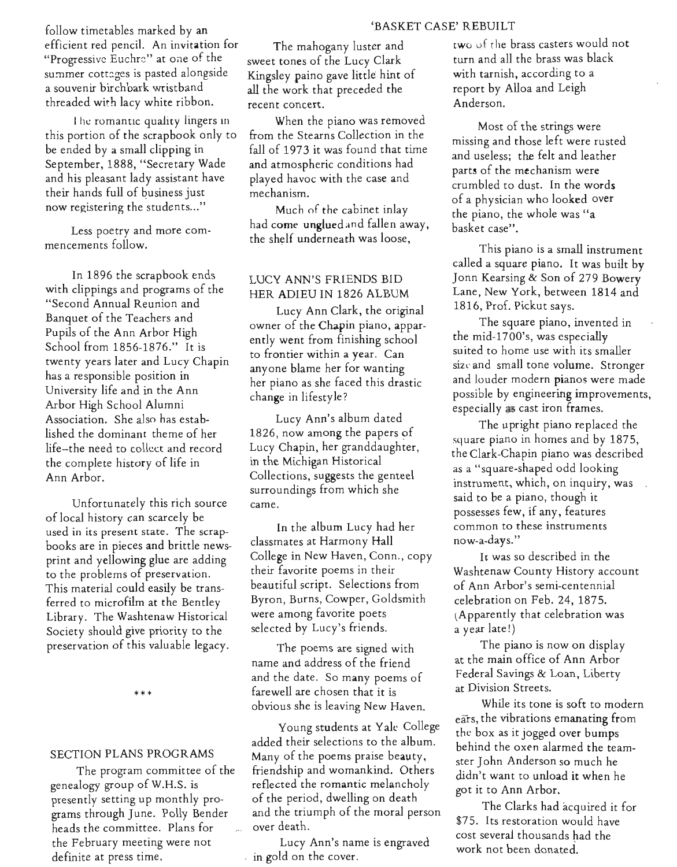#### 'BASKET CASE' REBUILT

follow timetables marked by an efficient red pencil. An invitation for "Progressive Euchre" at one of the summer cottages is pasted alongside a souvenir birchbark wristband threaded with lacy white ribbon.

I he romantic quality lingers in this portion of the scrapbook only to be ended by a small clipping in September, 1888, "Secretary Wade and his pleasant lady assistant have their hands full of business just now registering the students..."

Less poetry and more commencements follow.

In 1896 the scrapbook ends with clippings and programs of the "Second Annual Reunion and Banquet of the Teachers and Pupils of the Ann Arbor High School from 1856-1876." It is twenty years later and Lucy Chapin has a responsible position in University life and in the Ann Arbor High School Alumni Association. She also has established the dominant theme of her life-the need to collect and record the complete history of life in Ann Arbor.

Unfortunately this rich source of local history can scarcely be used in its present state. The scrapbooks are in pieces and brittle newsprint and yellowing glue are adding to the problems of preservation. This material could easily be transferred to microfilm at the Bentley Library. The Washtenaw Historical Society should give priority to the preservation of this valuable legacy.

\*\*\*

#### SECTION PLANS PROGRAMS

The program committee of the genealogy group of W.H.S. is presently setting up monthly programs through June. Polly Bender heads the committee. plans for the February meeting were not definite at press time.

The mahogany luster and sweet tones of the Lucy Clark Kingsley paino gave little hint of all the work that preceded the recent concert.

When the piano was removed from the Stearns Collection in the fall of 1973 it was found that time and atmospheric conditions had played havoc with the case and mechanism.

Much of the cabinet inlay had come unglued and fallen away, the shelf underneath was loose,

# LUCY ANN'S FRIENDS BID HER ADIEU IN 1826 ALBUM

Lucy Ann Clark, the original owner of the Chapin piano, apparently went from finishing school to frontier within a year. Can anyone blame her for wanting her piano as she faced this drastic change in lifestyle?

Lucy Ann's album dated 1826, now among the papers of Lucy Chapin, her granddaughter, in the Michigan Historical Collections, suggests the genteel surroundings from which she came.

In the album Lucy had her classmates at Harmony Hall College in New Haven, Conn., copy their favorite poems in their beautiful script. Selections from Byron, Burns, Cowper, Goldsmith were among favorite poets selected by Lucy's friends.

The poems are signed with name and address of the friend and the date. So many poems of farewell are chosen that it is obvious she is leaving New Haven.

Young students at Yale College added their selections to the album. Many of the poems praise beauty, friendship and womankind. Others reflected the romantic melancholy of the period, dwelling on death and the triumph of the moral person over death.

Lucy Ann's name is engraved in gold on the cover.

two uf the brass casters would not turn and all the brass was black with tarnish, according to a report by Alloa and Leigh Anderson.

Most of the strings were missing and those left were rusted and useless; the felt and leather parts of the mechanism were crumbled to dust. In the words of a physician who looked over the piano, the whole was "a basket case".

This piano is a small instrument called a square piano. It was built by Jonn Kearsing & Son of 279 Bowery Lane, New York, between 1814 and 1816, Prof. Pickut says.

The square piano, invented in the mid-1700's, was especially suited to home use with its smaller size and small tone volume. Stronger and louder modern pianos were made possible by engineering improvements, especially as cast iron frames.

The upright piano replaced the square piano in homes and by 1875, the Clark-Chapin piano was described as a "square-shaped odd looking instrument, which, on inquiry, was said to be a piano, though it possesses few, if any, features common to these instruments now-a-days. "

It was so described in the Washtenaw County History account of Ann Arbor's semi-centennial celebration on Feb. 24, 1875. Apparently that celebration was a year late!)

The piano is now on display at the main office of Ann Arbor Federal Savings & Loan, Liberty at Division Streets.

While its tone is soft to modern ears, the vibrations emanating from the box as it jogged over bumps behind the oxen alarmed the teamster John Anderson so much he didn't want to unload it when he got it to Ann Arbor.

The Clarks had acquired it for \$75. Its restoration would have cost several thousands had the work not been donated.